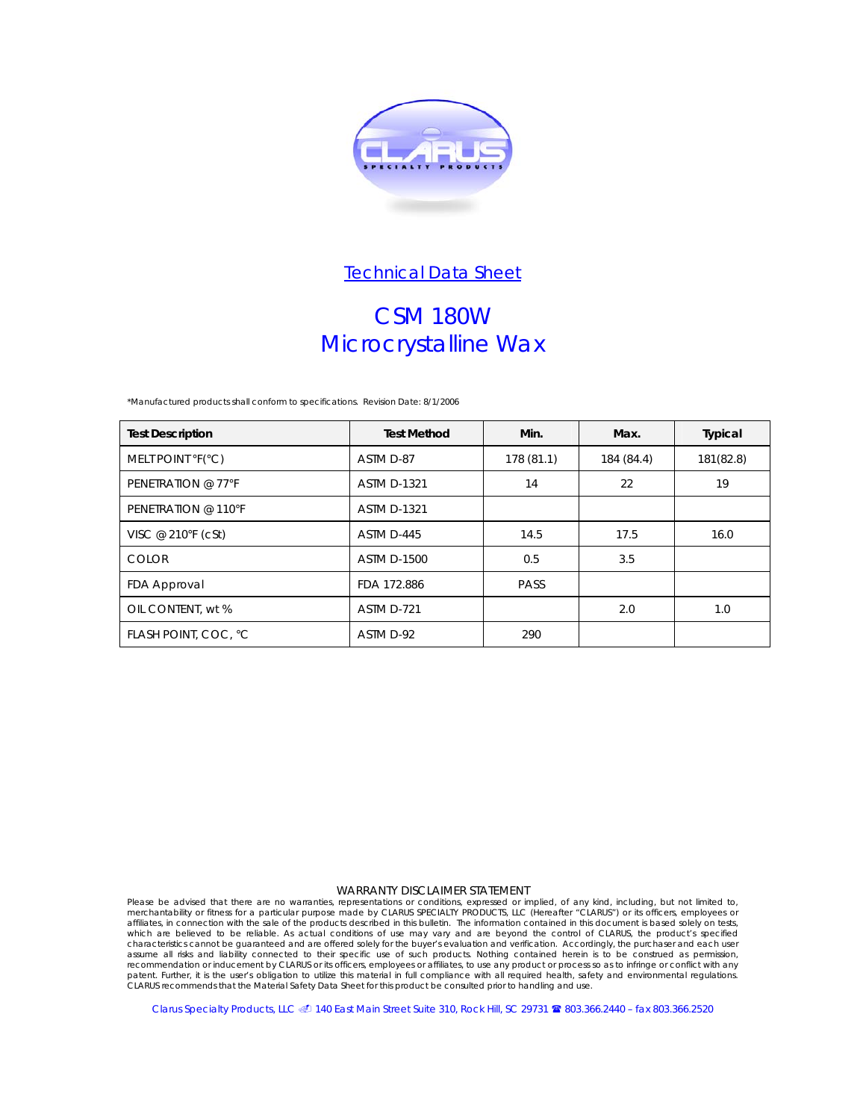

# CSM 180W Microcrystalline Wax

*\*Manufactured products shall conform to specifications.* Revision Date: 8/1/2006

| <b>Test Description</b> | <b>Test Method</b> | Min.       | Max.       | Typical   |
|-------------------------|--------------------|------------|------------|-----------|
| MELT POINT °F(°C)       | ASTM D-87          | 178 (81.1) | 184 (84.4) | 181(82.8) |
| PENETRATION @ 77°F      | <b>ASTM D-1321</b> | 14         | 22         | 19        |
| PENETRATION @ 110°F     | <b>ASTM D-1321</b> |            |            |           |
| VISC @ 210°F (cSt)      | ASTM D-445         | 14.5       | 17.5       | 16.0      |
| <b>COLOR</b>            | <b>ASTM D-1500</b> | 0.5        | 3.5        |           |
| FDA Approval            | FDA 172.886        | PASS       |            |           |
| OIL CONTENT, wt %       | ASTM D-721         |            | 2.0        | 1.0       |
| FLASH POINT, COC, °C    | ASTM D-92          | 290        |            |           |

#### WARRANTY DISCLAIMER STATEMENT

Please be advised that there are no warranties, representations or conditions, expressed or implied, of any kind, including, but not limited to, merchantability or fitness for a particular purpose made by CLARUS SPECIALTY PRODUCTS, LLC (Hereafter "CLARUS") or its officers, employees or<br>affiliates, in connection with the sale of the products described in this bullet characteristics cannot be guaranteed and are offered solely for the buyer's evaluation and verification. Accordingly, the purchaser and each user assume all risks and liability connected to their specific use of such products. Nothing contained herein is to be construed as permission, recommendation or inducement by CLARUS or its officers, employees or affiliates, to use any product or process so as to infringe or conflict with any<br>patent. Further, it is the user's obligation to utilize this material in

Clarus Specialty Products, LLC @ 140 East Main Street Suite 310, Rock Hill, SC 29731 <sup>8</sup>803.366.2440 – fax 803.366.2520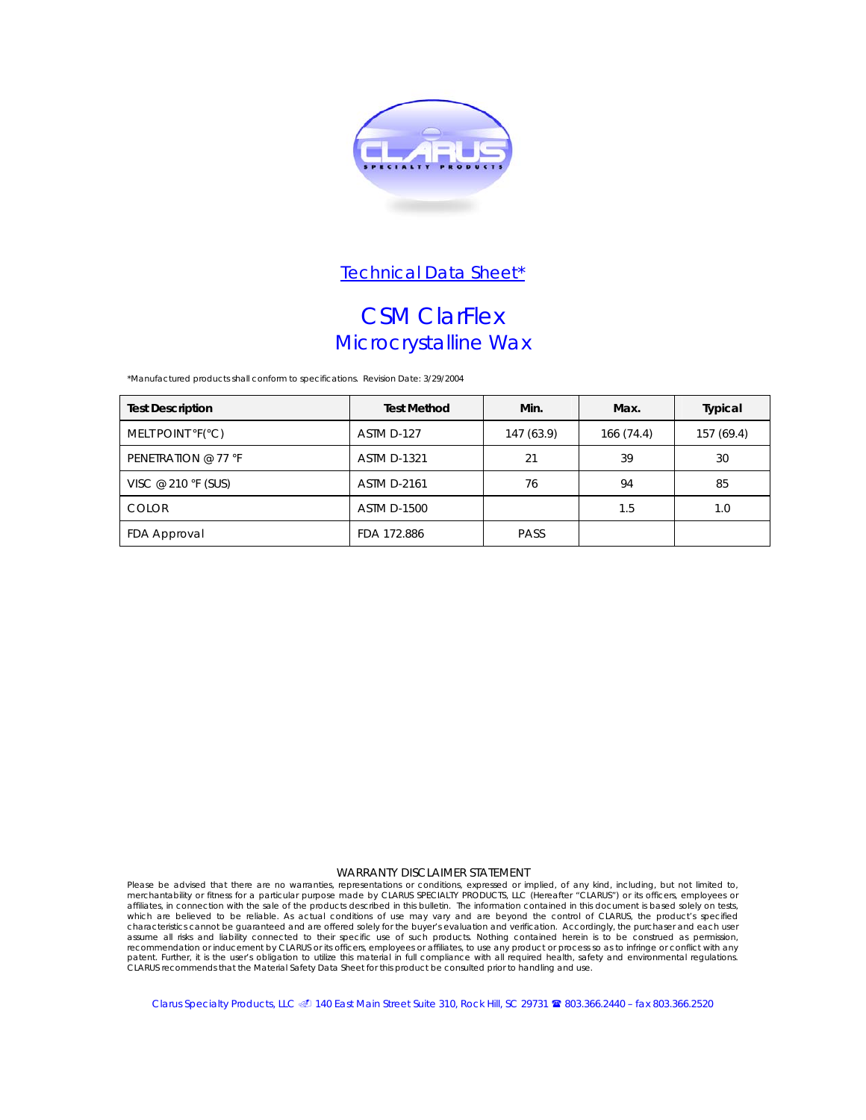

## CSM ClarFlex Microcrystalline Wax

*\*Manufactured products shall conform to specifications.* Revision Date: 3/29/2004

| <b>Test Description</b> | <b>Test Method</b> | Min.        | Max.       | <b>Typical</b> |
|-------------------------|--------------------|-------------|------------|----------------|
| MELT POINT °F(°C)       | ASTM D-127         | 147 (63.9)  | 166 (74.4) | 157 (69.4)     |
| PENETRATION @ 77 °F     | <b>ASTM D-1321</b> | 21          | 39         | 30             |
| VISC @ 210 °F (SUS)     | <b>ASTM D-2161</b> | 76          | 94         | 85             |
| <b>COLOR</b>            | <b>ASTM D-1500</b> |             | 1.5        | 1.0            |
| FDA Approval            | FDA 172.886        | <b>PASS</b> |            |                |

### WARRANTY DISCLAIMER STATEMENT

Please be advised that there are no warranties, representations or conditions, expressed or implied, of any kind, including, but not limited to, merchantability or fitness for a particular purpose made by CLARUS SPECIALTY PRODUCTS, LLC (Hereafter "CLARUS") or its officers, employees or affiliates, in connection with the sale of the products described in this bulletin. The information contained in this document is based solely on tests,<br>which are believed to be reliable. As actual conditions of use may va recommendation or inducement by CLARUS or its officers, employees or affiliates, to use any product or process so as to infringe or conflict with any patent. Further, it is the user's obligation to utilize this material in full compliance with all required health, safety and environmental regulations.<br>CLARUS recommends that the Material Safety Data Sheet for this produc

Clarus Specialty Products, LLC @ 140 East Main Street Suite 310, Rock Hill, SC 29731 <sup>8</sup>803.366.2440 – fax 803.366.2520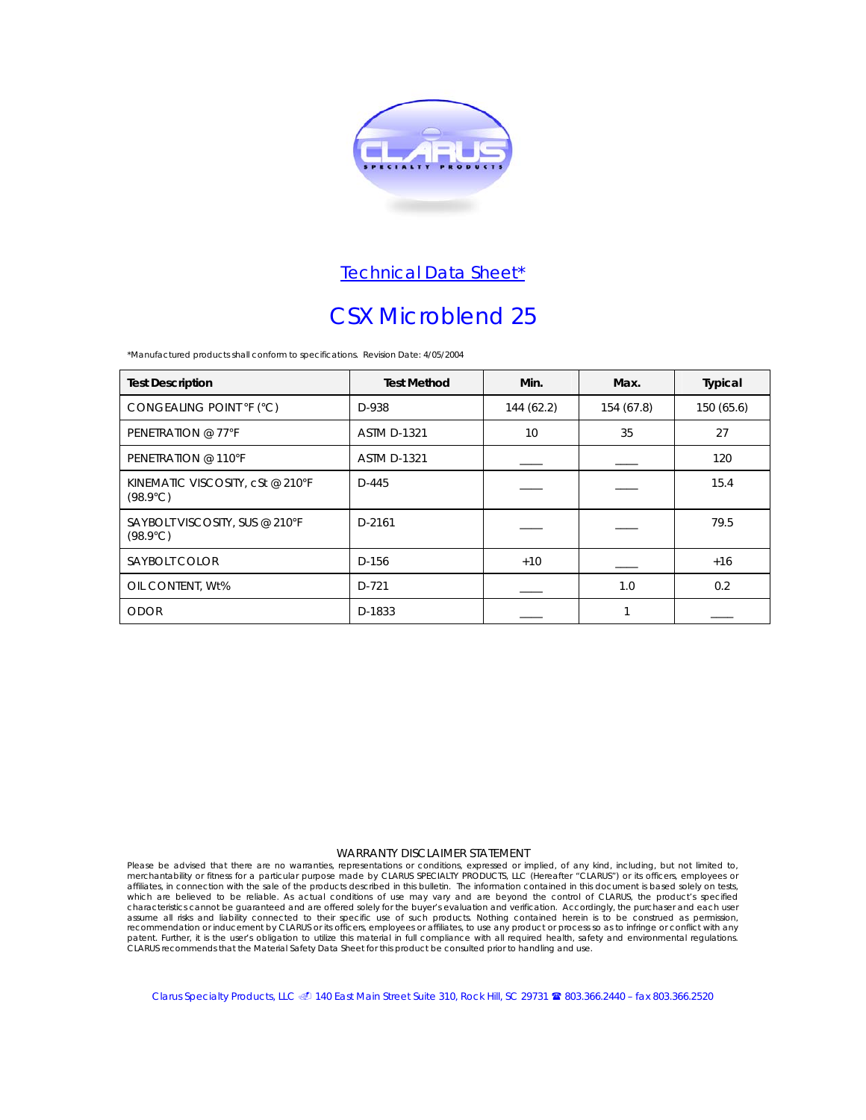

# CSX Microblend 25

*\*Manufactured products shall conform to specifications.* Revision Date: 4/05/2004

| <b>Test Description</b>                               | <b>Test Method</b> | Min.       | Max.       | Typical    |
|-------------------------------------------------------|--------------------|------------|------------|------------|
| CONGEALING POINT °F (°C)                              | D-938              | 144 (62.2) | 154 (67.8) | 150 (65.6) |
| PENETRATION @ 77°F                                    | <b>ASTM D-1321</b> | 10         | 35         | 27         |
| PENETRATION @ 110°F                                   | <b>ASTM D-1321</b> |            |            | 120        |
| KINEMATIC VISCOSITY, cSt @ 210°F<br>$(98.9^{\circ}C)$ | $D-445$            |            |            | 15.4       |
| SAYBOLT VISCOSITY, SUS @ 210°F<br>$(98.9^{\circ}C)$   | D-2161             |            |            | 79.5       |
| SAYBOLT COLOR                                         | D-156              | $+10$      |            | $+16$      |
| OIL CONTENT, Wt%                                      | $D-721$            |            | 1.0        | 0.2        |
| <b>ODOR</b>                                           | D-1833             |            |            |            |

### WARRANTY DISCLAIMER STATEMENT

Please be advised that there are no warranties, representations or conditions, expressed or implied, of any kind, including, but not limited to,<br>merchantability or fitness for a particular purpose made by CLARUS SPECIALTY characteristics cannot be guaranteed and are offered solely for the buyer's evaluation and verification. Accordingly, the purchaser and each user assume all risks and liability connected to their specific use of such products. Nothing contained herein is to be construed as permission, recommendation or inducement by CLARUS or its officers, employees or affiliates, to use any product or process so as to infringe or conflict with any<br>patent. Further, it is the user's obligation to utilize this material in

Clarus Specialty Products, LLC @ 140 East Main Street Suite 310, Rock Hill, SC 29731 <sup>8</sup>803.366.2440 – fax 803.366.2520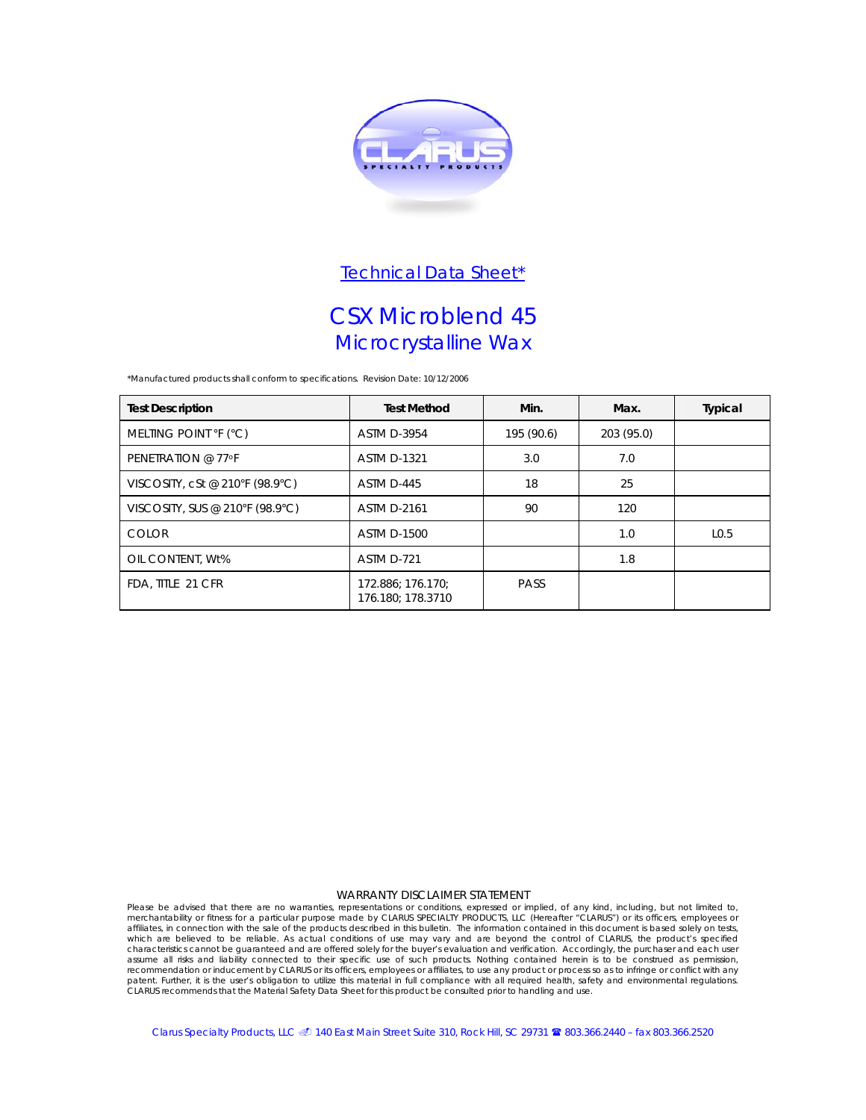

## CSX Microblend 45 Microcrystalline Wax

*\*Manufactured products shall conform to specifications.* Revision Date: 10/12/2006

| <b>Test Description</b>         | <b>Test Method</b>                     | Min.        | Max.       | Typical          |
|---------------------------------|----------------------------------------|-------------|------------|------------------|
| MELTING POINT °F (°C)           | <b>ASTM D-3954</b>                     | 195 (90.6)  | 203 (95.0) |                  |
| PENETRATION @ 77°F              | <b>ASTM D-1321</b>                     | 3.0         | 7.0        |                  |
| VISCOSITY, cSt @ 210°F (98.9°C) | ASTM D-445                             | 18          | 25         |                  |
| VISCOSITY, SUS @ 210°F (98.9°C) | <b>ASTM D-2161</b>                     | 90          | 120        |                  |
| <b>COLOR</b>                    | <b>ASTM D-1500</b>                     |             | 1.0        | L <sub>0.5</sub> |
| OIL CONTENT. Wt%                | ASTM D-721                             |             | 1.8        |                  |
| FDA, TITLE 21 CFR               | 172.886; 176.170;<br>176.180; 178.3710 | <b>PASS</b> |            |                  |

### WARRANTY DISCLAIMER STATEMENT

Please be advised that there are no warranties, representations or conditions, expressed or implied, of any kind, including, but not limited to, merchantability or fitness for a particular purpose made by CLARUS SPECIALTY assume all risks and liability connected to their specific use of such products. Nothing contained herein is to be construed as permission, recommendation or inducement by CLARUS or its officers, employees or affiliates, to use any product or process so as to infringe or conflict with any patent. Further, it is the user's obligation to utilize this material in full compliance with all required health, safety and environmental regulations.<br>CLARUS recommends that the Material Safety Data Sheet for this produc

Clarus Specialty Products, LLC @ 140 East Main Street Suite 310, Rock Hill, SC 29731 <sup>8</sup>8 803.366.2440 – fax 803.366.2520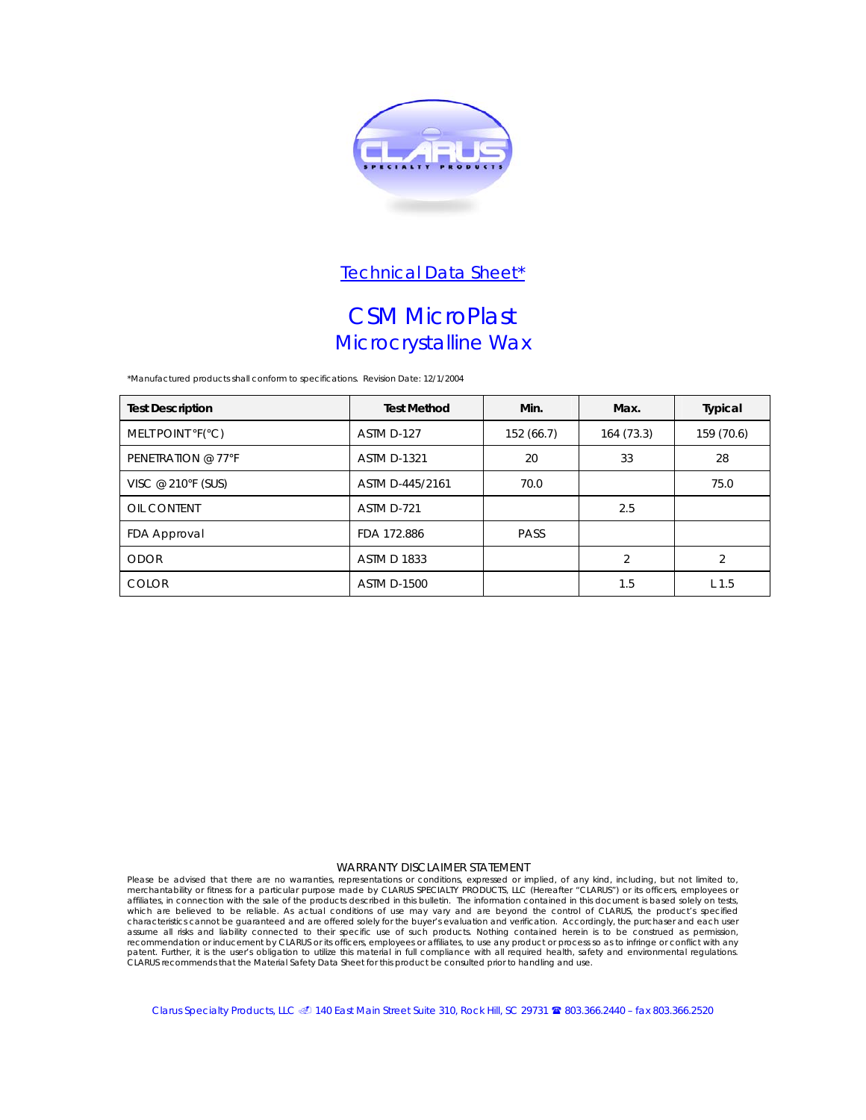

## CSM MicroPlast Microcrystalline Wax

*\*Manufactured products shall conform to specifications.* Revision Date: 12/1/2004

| <b>Test Description</b> | <b>Test Method</b> | Min.      | Max.           | Typical                  |
|-------------------------|--------------------|-----------|----------------|--------------------------|
| MELT POINT °F(°C)       | ASTM D-127         | 152(66.7) | 164(73.3)      | 159 (70.6)               |
| PENETRATION @ 77°F      | <b>ASTM D-1321</b> | 20        | 33             | 28                       |
| VISC @ 210°F (SUS)      | ASTM D-445/2161    | 70.0      |                | 75.0                     |
| OIL CONTENT             | ASTM D-721         |           | 2.5            |                          |
| FDA Approval            | FDA 172.886        | PASS      |                |                          |
| <b>ODOR</b>             | <b>ASTM D 1833</b> |           | $\overline{2}$ | $\overline{\mathcal{L}}$ |
| <b>COLOR</b>            | <b>ASTM D-1500</b> |           | 1.5            | L <sub>1.5</sub>         |

### WARRANTY DISCLAIMER STATEMENT

Please be advised that there are no warranties, representations or conditions, expressed or implied, of any kind, including, but not limited to,<br>merchantability or fitness for a particular purpose made by CLARUS SPECIALTY which are believed to be reliable. As actual conditions of use may vary and are beyond the control of CLARUS, the product's specified characteristics cannot be guaranteed and are offered solely for the buyer's evaluation and verification. Accordingly, the purchaser and each user<br>assume all risks and liability connected to their specific use of such produ

Clarus Specialty Products, LLC @ 140 East Main Street Suite 310, Rock Hill, SC 29731 <sup>8</sup>8 803.366.2440 – fax 803.366.2520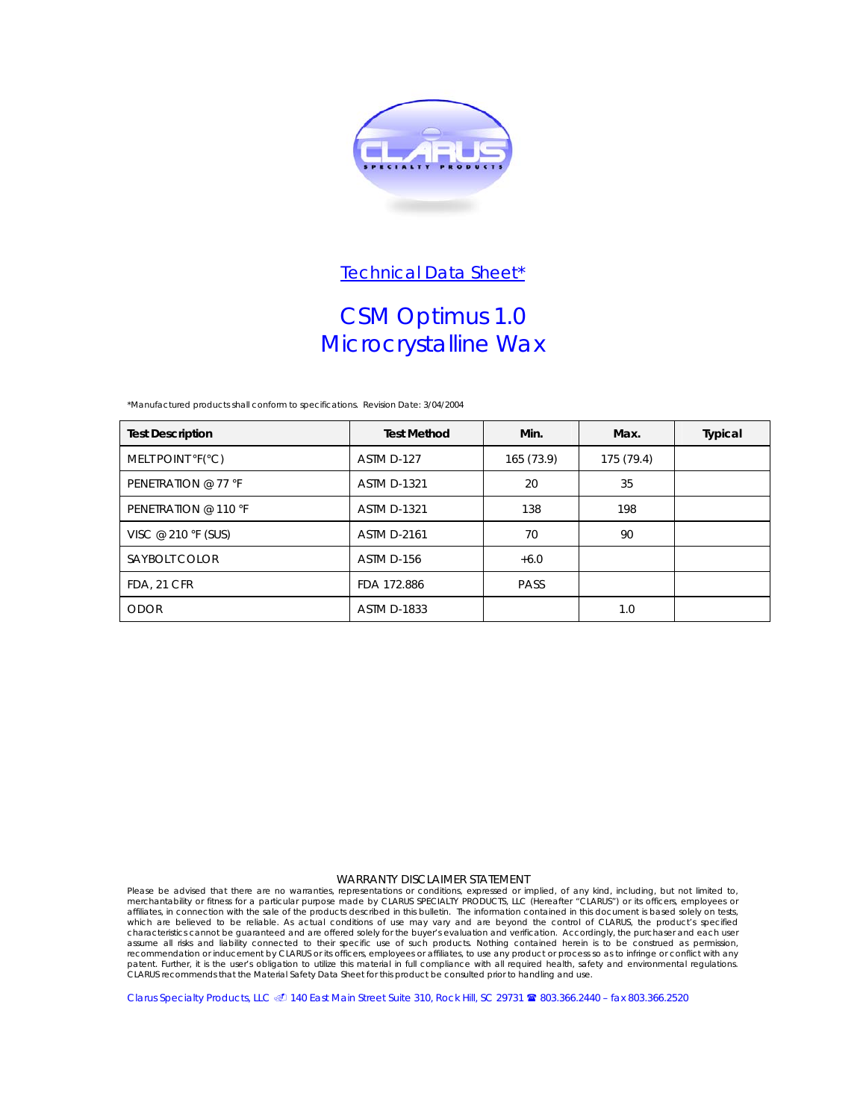

# CSM Optimus 1.0 Microcrystalline Wax

*\*Manufactured products shall conform to specifications.* Revision Date: 3/04/2004

| <b>Test Description</b> | <b>Test Method</b> | Min.        | Max.       | Typical |
|-------------------------|--------------------|-------------|------------|---------|
| MELT POINT °F(°C)       | ASTM D-127         | 165 (73.9)  | 175 (79.4) |         |
| PENETRATION @ 77 °F     | <b>ASTM D-1321</b> | 20          | 35         |         |
| PENETRATION @ 110 °F    | <b>ASTM D-1321</b> | 138         | 198        |         |
| VISC @ 210 °F (SUS)     | <b>ASTM D-2161</b> | 70          | 90         |         |
| SAYBOLT COLOR           | ASTM D-156         | $+6.0$      |            |         |
| FDA, 21 CFR             | FDA 172.886        | <b>PASS</b> |            |         |
| <b>ODOR</b>             | <b>ASTM D-1833</b> |             | 1.0        |         |

### WARRANTY DISCLAIMER STATEMENT

Please be advised that there are no warranties, representations or conditions, expressed or implied, of any kind, including, but not limited to,<br>merchantability or fitness for a particular purpose made by CLARUS SPECIALTY characteristics cannot be guaranteed and are offered solely for the buyer's evaluation and verification. Accordingly, the purchaser and each user<br>assume all risks and liability connected to their specific use of such produ

Clarus Specialty Products, LLC @ 140 East Main Street Suite 310, Rock Hill, SC 29731 <sup>2</sup>8 803.366.2440 – fax 803.366.2520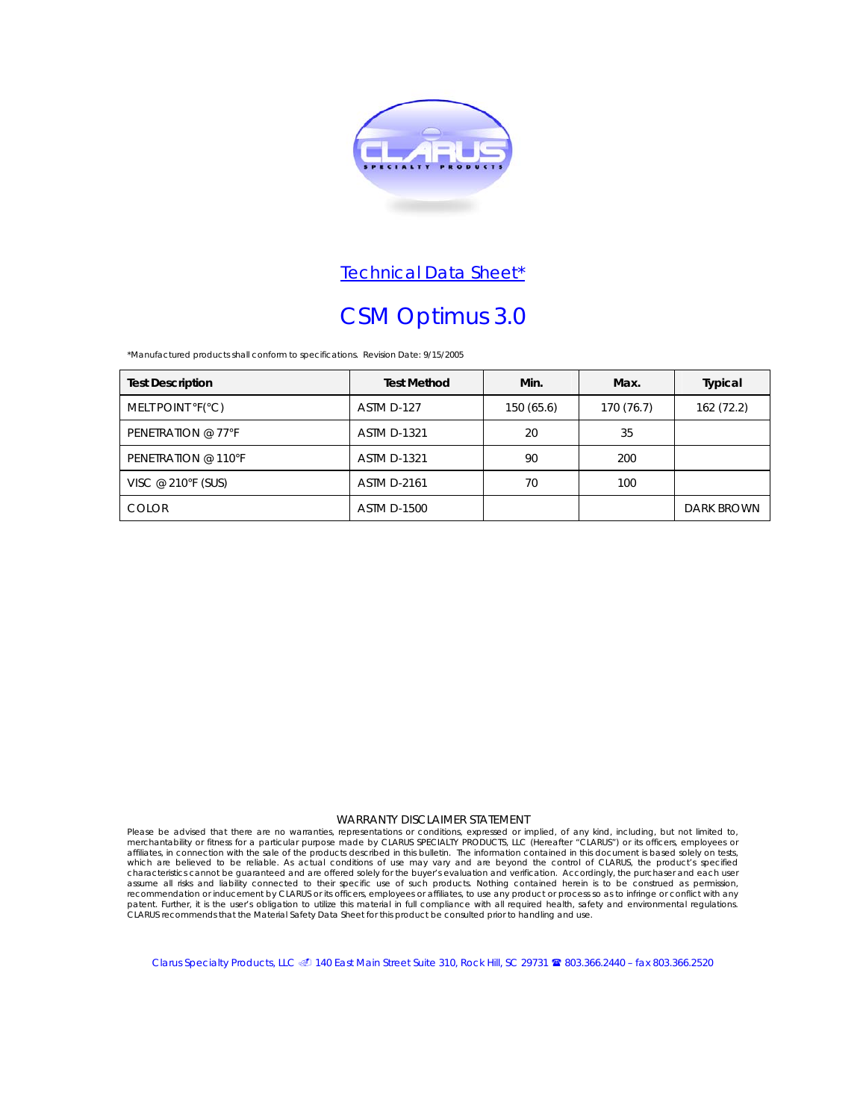

# CSM Optimus 3.0

*\*Manufactured products shall conform to specifications.* Revision Date: 9/15/2005

| <b>Test Description</b> | <b>Test Method</b> | Min.      | Max.       | <b>Typical</b>    |
|-------------------------|--------------------|-----------|------------|-------------------|
| MELT POINT °F(°C)       | ASTM D-127         | 150(65.6) | 170 (76.7) | 162 (72.2)        |
| PENETRATION @ 77°F      | <b>ASTM D-1321</b> | 20        | 35         |                   |
| PENETRATION @ 110°F     | <b>ASTM D-1321</b> | 90        | 200        |                   |
| VISC @ 210°F (SUS)      | <b>ASTM D-2161</b> | 70        | 100        |                   |
| <b>COLOR</b>            | <b>ASTM D-1500</b> |           |            | <b>DARK BROWN</b> |

### WARRANTY DISCLAIMER STATEMENT

Please be advised that there are no warranties, representations or conditions, expressed or implied, of any kind, including, but not limited to,<br>merchantability or fitness for a particular purpose made by CLARUS SPECIALTY assume all risks and liability connected to their specific use of such products. Nothing contained herein is to be construed as permission, recommendation or inducement by CLARUS or its officers, employees or affiliates, to use any product or process so as to infringe or conflict with any<br>patent. Further, it is the user's obligation to utilize this material in

Clarus Specialty Products, LLC @ 140 East Main Street Suite 310, Rock Hill, SC 29731 <sup>2</sup>8803.366.2440 – fax 803.366.2520